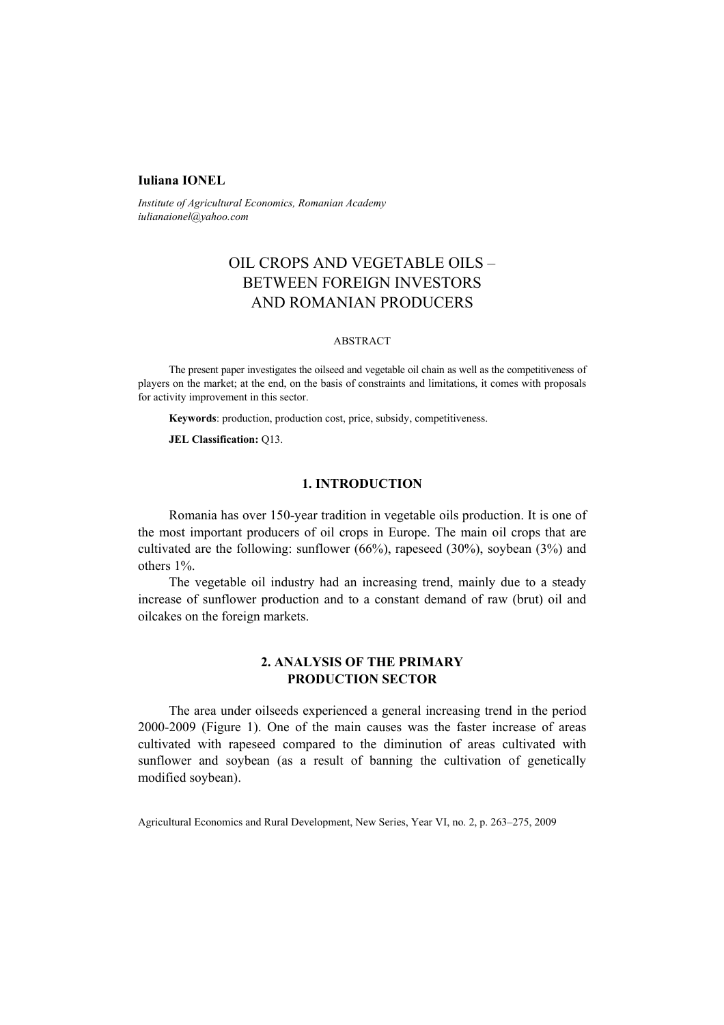## **Iuliana IONEL**

*Institute of Agricultural Economics, Romanian Academy iulianaionel@yahoo.com* 

# OIL CROPS AND VEGETABLE OILS – BETWEEN FOREIGN INVESTORS AND ROMANIAN PRODUCERS

#### ABSTRACT

The present paper investigates the oilseed and vegetable oil chain as well as the competitiveness of players on the market; at the end, on the basis of constraints and limitations, it comes with proposals for activity improvement in this sector.

**Keywords**: production, production cost, price, subsidy, competitiveness.

#### **JEL Classification:** Q13.

## **1. INTRODUCTION**

Romania has over 150-year tradition in vegetable oils production. It is one of the most important producers of oil crops in Europe. The main oil crops that are cultivated are the following: sunflower (66%), rapeseed (30%), soybean (3%) and others 1%.

The vegetable oil industry had an increasing trend, mainly due to a steady increase of sunflower production and to a constant demand of raw (brut) oil and oilcakes on the foreign markets.

## **2. ANALYSIS OF THE PRIMARY PRODUCTION SECTOR**

The area under oilseeds experienced a general increasing trend in the period 2000-2009 (Figure 1). One of the main causes was the faster increase of areas cultivated with rapeseed compared to the diminution of areas cultivated with sunflower and soybean (as a result of banning the cultivation of genetically modified soybean).

Agricultural Economics and Rural Development, New Series, Year VI, no. 2, p. 263–275, 2009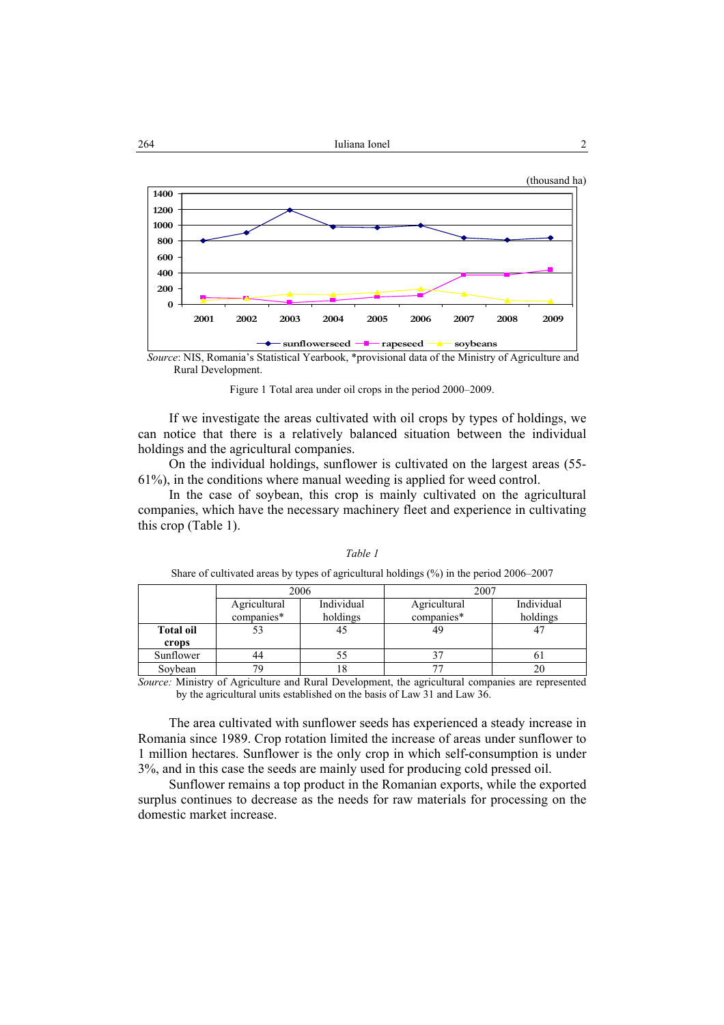

*Source*: NIS, Romania's Statistical Yearbook, \*provisional data of the Ministry of Agriculture and Rural Development.

Figure 1 Total area under oil crops in the period 2000–2009.

If we investigate the areas cultivated with oil crops by types of holdings, we can notice that there is a relatively balanced situation between the individual holdings and the agricultural companies.

On the individual holdings, sunflower is cultivated on the largest areas (55- 61%), in the conditions where manual weeding is applied for weed control.

In the case of soybean, this crop is mainly cultivated on the agricultural companies, which have the necessary machinery fleet and experience in cultivating this crop (Table 1).

|                  |              | 2006       | 2007         |            |  |
|------------------|--------------|------------|--------------|------------|--|
|                  | Agricultural | Individual | Agricultural | Individual |  |
|                  | companies*   | holdings   | companies*   | holdings   |  |
| <b>Total oil</b> | 53           | 45         | 49           |            |  |
| crops            |              |            |              |            |  |
| Sunflower        | 44           | 55         |              |            |  |
| Soybean          | 79           | 18         | חח           |            |  |

*Table 1* 

Share of cultivated areas by types of agricultural holdings (%) in the period 2006–2007

*Source:* Ministry of Agriculture and Rural Development, the agricultural companies are represented by the agricultural units established on the basis of Law 31 and Law 36.

The area cultivated with sunflower seeds has experienced a steady increase in Romania since 1989. Crop rotation limited the increase of areas under sunflower to 1 million hectares. Sunflower is the only crop in which self-consumption is under 3%, and in this case the seeds are mainly used for producing cold pressed oil.

Sunflower remains a top product in the Romanian exports, while the exported surplus continues to decrease as the needs for raw materials for processing on the domestic market increase.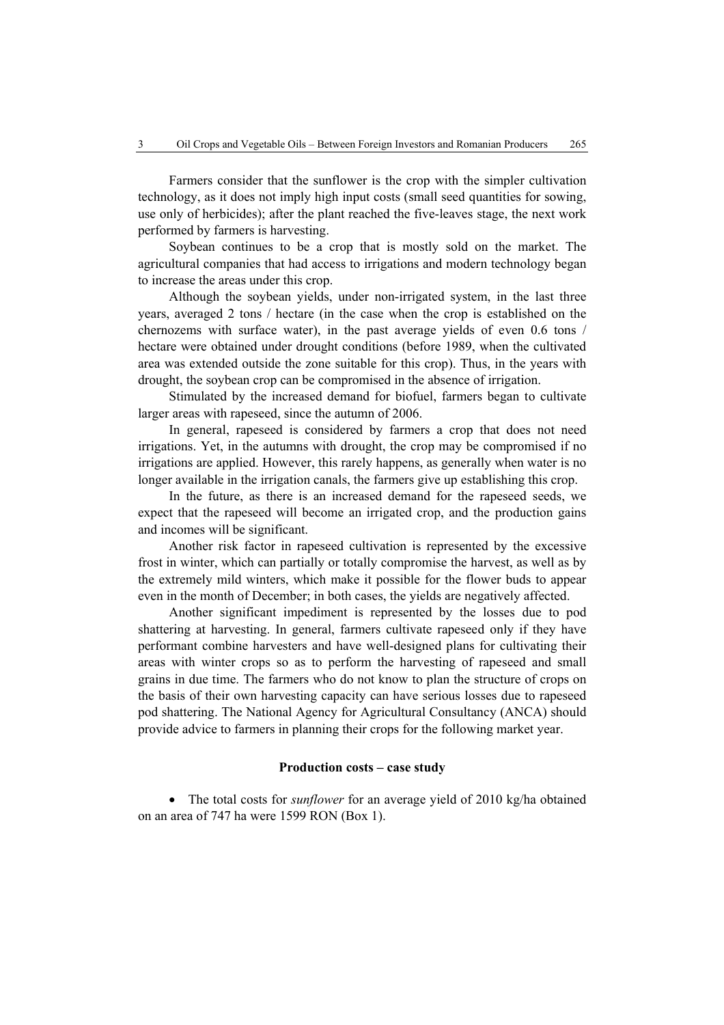Farmers consider that the sunflower is the crop with the simpler cultivation technology, as it does not imply high input costs (small seed quantities for sowing, use only of herbicides); after the plant reached the five-leaves stage, the next work performed by farmers is harvesting.

Soybean continues to be a crop that is mostly sold on the market. The agricultural companies that had access to irrigations and modern technology began to increase the areas under this crop.

Although the soybean yields, under non-irrigated system, in the last three years, averaged 2 tons / hectare (in the case when the crop is established on the chernozems with surface water), in the past average yields of even 0.6 tons / hectare were obtained under drought conditions (before 1989, when the cultivated area was extended outside the zone suitable for this crop). Thus, in the years with drought, the soybean crop can be compromised in the absence of irrigation.

Stimulated by the increased demand for biofuel, farmers began to cultivate larger areas with rapeseed, since the autumn of 2006.

In general, rapeseed is considered by farmers a crop that does not need irrigations. Yet, in the autumns with drought, the crop may be compromised if no irrigations are applied. However, this rarely happens, as generally when water is no longer available in the irrigation canals, the farmers give up establishing this crop.

In the future, as there is an increased demand for the rapeseed seeds, we expect that the rapeseed will become an irrigated crop, and the production gains and incomes will be significant.

Another risk factor in rapeseed cultivation is represented by the excessive frost in winter, which can partially or totally compromise the harvest, as well as by the extremely mild winters, which make it possible for the flower buds to appear even in the month of December; in both cases, the yields are negatively affected.

Another significant impediment is represented by the losses due to pod shattering at harvesting. In general, farmers cultivate rapeseed only if they have performant combine harvesters and have well-designed plans for cultivating their areas with winter crops so as to perform the harvesting of rapeseed and small grains in due time. The farmers who do not know to plan the structure of crops on the basis of their own harvesting capacity can have serious losses due to rapeseed pod shattering. The National Agency for Agricultural Consultancy (ANCA) should provide advice to farmers in planning their crops for the following market year.

## **Production costs – case study**

• The total costs for *sunflower* for an average yield of 2010 kg/ha obtained on an area of 747 ha were 1599 RON (Box 1).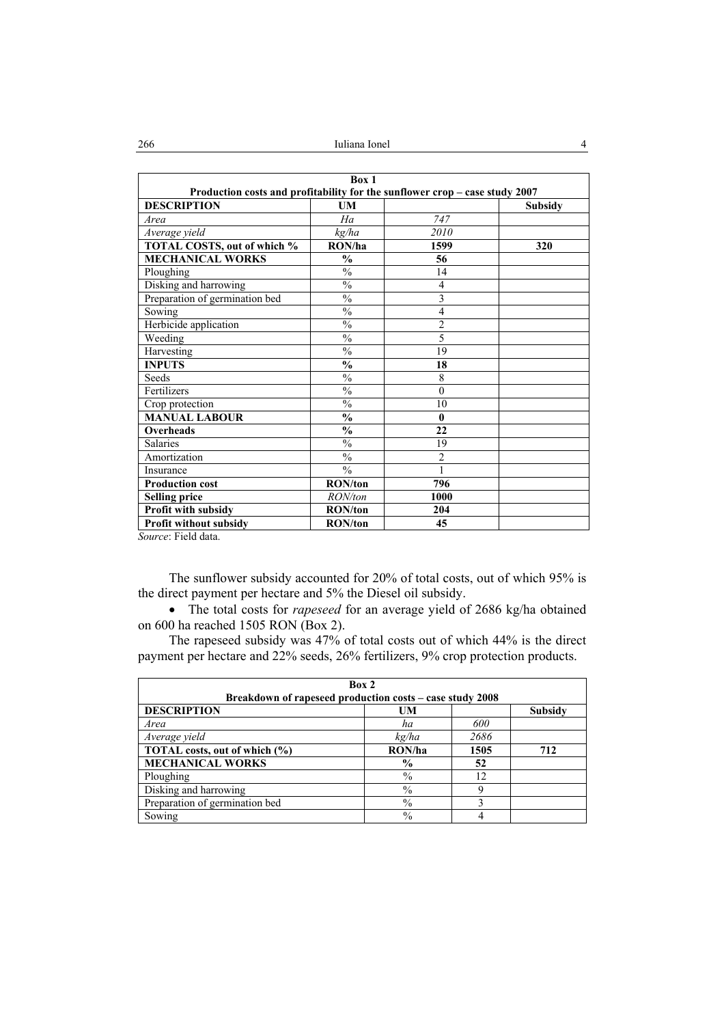| Box 1<br>Production costs and profitability for the sunflower crop - case study 2007 |                          |                |                |  |
|--------------------------------------------------------------------------------------|--------------------------|----------------|----------------|--|
| <b>DESCRIPTION</b>                                                                   | UM                       |                | <b>Subsidy</b> |  |
| Area                                                                                 | Ha                       | 747            |                |  |
| Average yield                                                                        | kg/ha                    | 2010           |                |  |
| TOTAL COSTS, out of which %                                                          | RON/ha                   | 1599           | 320            |  |
| <b>MECHANICAL WORKS</b>                                                              | $\frac{0}{0}$            | 56             |                |  |
| Ploughing                                                                            | $\frac{0}{0}$            | 14             |                |  |
| Disking and harrowing                                                                | $\overline{\frac{0}{6}}$ | $\overline{4}$ |                |  |
| Preparation of germination bed                                                       | $\%$                     | 3              |                |  |
| Sowing                                                                               | $\frac{0}{0}$            | $\overline{4}$ |                |  |
| Herbicide application                                                                | $\overline{\frac{0}{6}}$ | $\overline{2}$ |                |  |
| Weeding                                                                              | $\%$                     | 5              |                |  |
| Harvesting                                                                           | $\frac{0}{0}$            | 19             |                |  |
| <b>INPUTS</b>                                                                        | $\frac{0}{0}$            | 18             |                |  |
| Seeds                                                                                | $\%$                     | 8              |                |  |
| Fertilizers                                                                          | $\frac{0}{0}$            | $\theta$       |                |  |
| Crop protection                                                                      | $\frac{0}{0}$            | 10             |                |  |
| <b>MANUAL LABOUR</b>                                                                 | $\frac{0}{0}$            | $\mathbf{0}$   |                |  |
| Overheads                                                                            | $\frac{0}{0}$            | 22             |                |  |
| Salaries                                                                             | $\overline{\frac{0}{0}}$ | 19             |                |  |
| Amortization                                                                         | $\frac{0}{0}$            | $\overline{c}$ |                |  |
| Insurance                                                                            | $\frac{0}{0}$            | 1              |                |  |
| <b>Production cost</b>                                                               | <b>RON/ton</b>           | 796            |                |  |
| <b>Selling price</b>                                                                 | RON/ton                  | 1000           |                |  |
| Profit with subsidy                                                                  | <b>RON/ton</b>           | 204            |                |  |
| Profit without subsidy<br>$\sim$ 100 $\sim$ 100 $\sim$ 100 $\sim$                    | <b>RON/ton</b>           | 45             |                |  |

*Source*: Field data.

The sunflower subsidy accounted for 20% of total costs, out of which 95% is the direct payment per hectare and 5% the Diesel oil subsidy.

• The total costs for *rapeseed* for an average yield of 2686 kg/ha obtained on 600 ha reached 1505 RON (Box 2).

The rapeseed subsidy was 47% of total costs out of which 44% is the direct payment per hectare and 22% seeds, 26% fertilizers, 9% crop protection products.

| Box 2<br>Breakdown of rapeseed production costs - case study 2008 |               |      |                |  |  |  |
|-------------------------------------------------------------------|---------------|------|----------------|--|--|--|
| <b>DESCRIPTION</b>                                                | UM            |      | <b>Subsidy</b> |  |  |  |
| Area                                                              | ha            | 600  |                |  |  |  |
| Average yield                                                     | kg/ha         | 2686 |                |  |  |  |
| TOTAL costs, out of which (%)                                     | RON/ha        | 1505 | 712            |  |  |  |
| <b>MECHANICAL WORKS</b>                                           | $\frac{0}{0}$ | 52   |                |  |  |  |
| Ploughing                                                         | $\%$          | 12   |                |  |  |  |
| Disking and harrowing                                             | $\%$          |      |                |  |  |  |
| Preparation of germination bed                                    | $\frac{0}{0}$ |      |                |  |  |  |
| Sowing                                                            | $\%$          |      |                |  |  |  |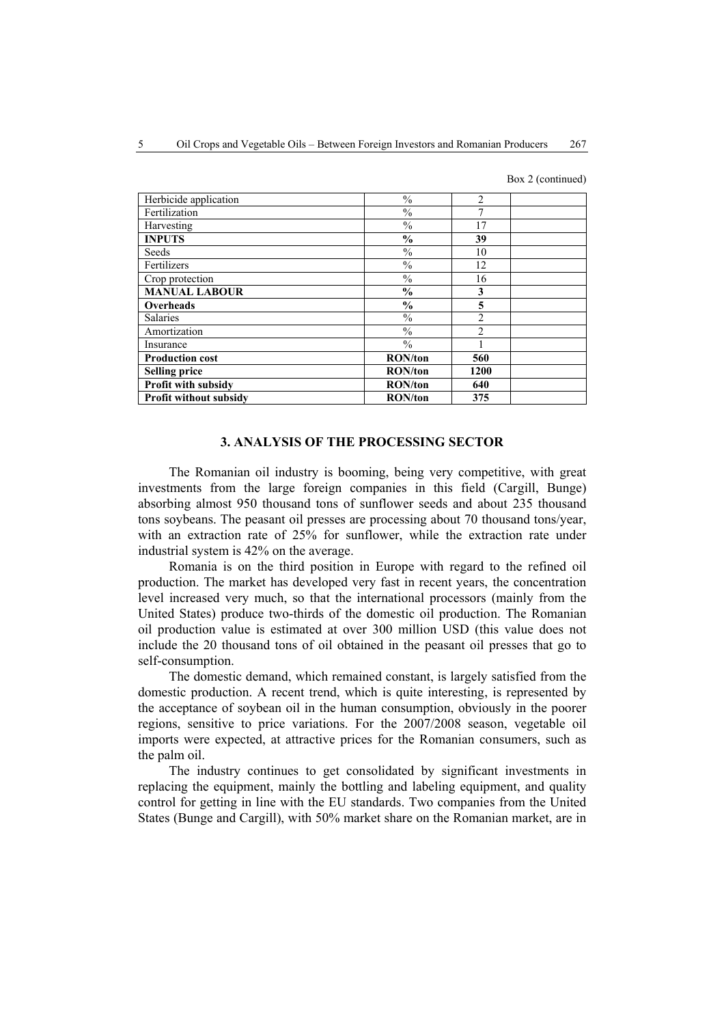Box 2 (continued)

| Herbicide application         | $\frac{0}{0}$  | $\mathfrak{D}$ |  |
|-------------------------------|----------------|----------------|--|
|                               |                |                |  |
| Fertilization                 | $\frac{0}{0}$  |                |  |
| Harvesting                    | $\frac{0}{0}$  | 17             |  |
| <b>INPUTS</b>                 | $\frac{0}{0}$  | 39             |  |
| Seeds                         | $\frac{0}{0}$  | 10             |  |
| Fertilizers                   | $\frac{0}{6}$  | 12             |  |
| Crop protection               | $\frac{0}{0}$  | 16             |  |
| <b>MANUAL LABOUR</b>          | $\frac{0}{0}$  | 3              |  |
| Overheads                     | $\frac{0}{0}$  | 5              |  |
| Salaries                      | $\frac{0}{0}$  | $\mathfrak{D}$ |  |
| Amortization                  | $\frac{0}{0}$  | $\mathfrak{D}$ |  |
| Insurance                     | $\frac{0}{0}$  |                |  |
| <b>Production cost</b>        | <b>RON/ton</b> | 560            |  |
| <b>Selling price</b>          | <b>RON/ton</b> | 1200           |  |
| Profit with subsidy           | <b>RON/ton</b> | 640            |  |
| <b>Profit without subsidy</b> | <b>RON/ton</b> | 375            |  |

#### **3. ANALYSIS OF THE PROCESSING SECTOR**

The Romanian oil industry is booming, being very competitive, with great investments from the large foreign companies in this field (Cargill, Bunge) absorbing almost 950 thousand tons of sunflower seeds and about 235 thousand tons soybeans. The peasant oil presses are processing about 70 thousand tons/year, with an extraction rate of 25% for sunflower, while the extraction rate under industrial system is 42% on the average.

Romania is on the third position in Europe with regard to the refined oil production. The market has developed very fast in recent years, the concentration level increased very much, so that the international processors (mainly from the United States) produce two-thirds of the domestic oil production. The Romanian oil production value is estimated at over 300 million USD (this value does not include the 20 thousand tons of oil obtained in the peasant oil presses that go to self-consumption.

The domestic demand, which remained constant, is largely satisfied from the domestic production. A recent trend, which is quite interesting, is represented by the acceptance of soybean oil in the human consumption, obviously in the poorer regions, sensitive to price variations. For the 2007/2008 season, vegetable oil imports were expected, at attractive prices for the Romanian consumers, such as the palm oil.

The industry continues to get consolidated by significant investments in replacing the equipment, mainly the bottling and labeling equipment, and quality control for getting in line with the EU standards. Two companies from the United States (Bunge and Cargill), with 50% market share on the Romanian market, are in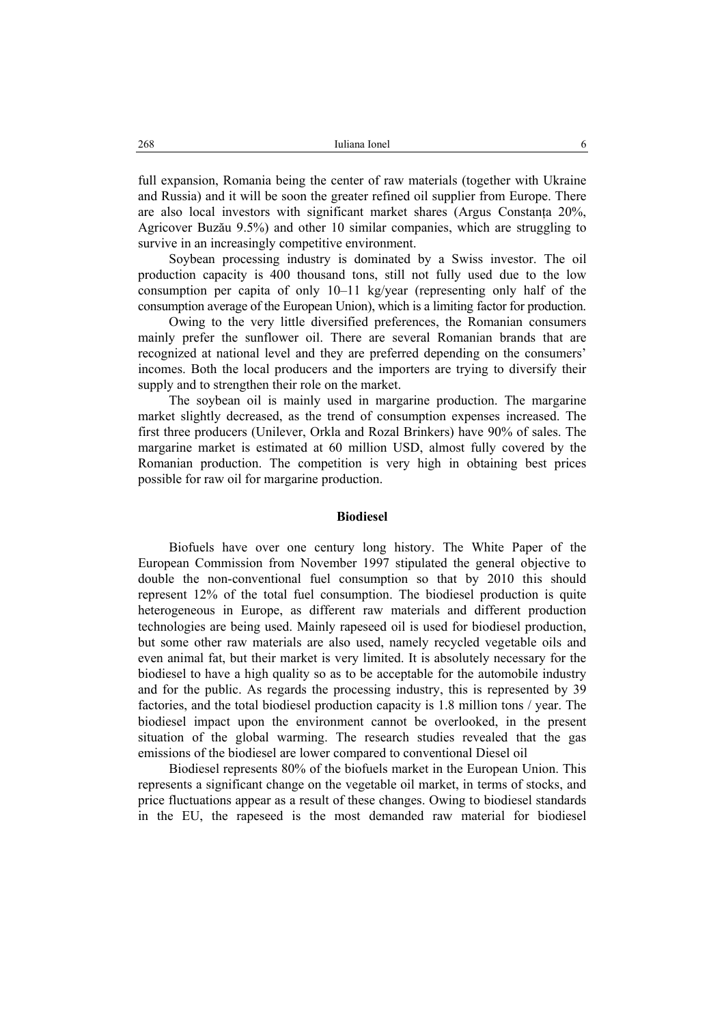full expansion, Romania being the center of raw materials (together with Ukraine and Russia) and it will be soon the greater refined oil supplier from Europe. There are also local investors with significant market shares (Argus Constanţa 20%, Agricover Buzău 9.5%) and other 10 similar companies, which are struggling to survive in an increasingly competitive environment.

Soybean processing industry is dominated by a Swiss investor. The oil production capacity is 400 thousand tons, still not fully used due to the low consumption per capita of only 10–11 kg/year (representing only half of the consumption average of the European Union), which is a limiting factor for production.

Owing to the very little diversified preferences, the Romanian consumers mainly prefer the sunflower oil. There are several Romanian brands that are recognized at national level and they are preferred depending on the consumers' incomes. Both the local producers and the importers are trying to diversify their supply and to strengthen their role on the market.

The soybean oil is mainly used in margarine production. The margarine market slightly decreased, as the trend of consumption expenses increased. The first three producers (Unilever, Orkla and Rozal Brinkers) have 90% of sales. The margarine market is estimated at 60 million USD, almost fully covered by the Romanian production. The competition is very high in obtaining best prices possible for raw oil for margarine production.

#### **Biodiesel**

Biofuels have over one century long history. The White Paper of the European Commission from November 1997 stipulated the general objective to double the non-conventional fuel consumption so that by 2010 this should represent 12% of the total fuel consumption. The biodiesel production is quite heterogeneous in Europe, as different raw materials and different production technologies are being used. Mainly rapeseed oil is used for biodiesel production, but some other raw materials are also used, namely recycled vegetable oils and even animal fat, but their market is very limited. It is absolutely necessary for the biodiesel to have a high quality so as to be acceptable for the automobile industry and for the public. As regards the processing industry, this is represented by 39 factories, and the total biodiesel production capacity is 1.8 million tons / year. The biodiesel impact upon the environment cannot be overlooked, in the present situation of the global warming. The research studies revealed that the gas emissions of the biodiesel are lower compared to conventional Diesel oil

Biodiesel represents 80% of the biofuels market in the European Union. This represents a significant change on the vegetable oil market, in terms of stocks, and price fluctuations appear as a result of these changes. Owing to biodiesel standards in the EU, the rapeseed is the most demanded raw material for biodiesel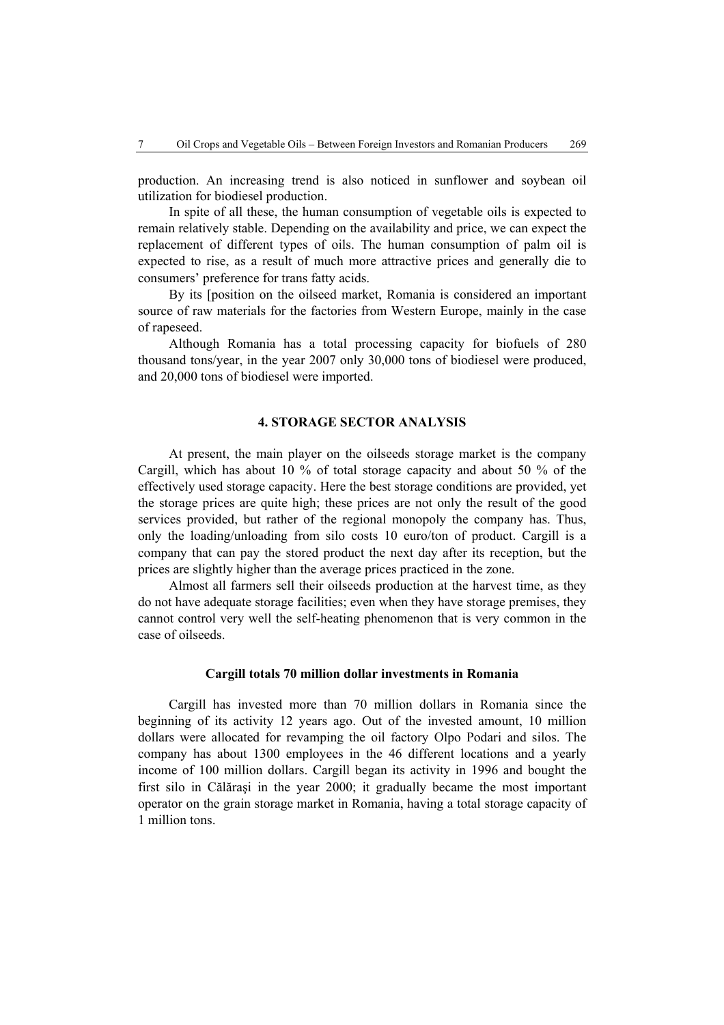production. An increasing trend is also noticed in sunflower and soybean oil utilization for biodiesel production.

In spite of all these, the human consumption of vegetable oils is expected to remain relatively stable. Depending on the availability and price, we can expect the replacement of different types of oils. The human consumption of palm oil is expected to rise, as a result of much more attractive prices and generally die to consumers' preference for trans fatty acids.

By its [position on the oilseed market, Romania is considered an important source of raw materials for the factories from Western Europe, mainly in the case of rapeseed.

Although Romania has a total processing capacity for biofuels of 280 thousand tons/year, in the year 2007 only 30,000 tons of biodiesel were produced, and 20,000 tons of biodiesel were imported.

#### **4. STORAGE SECTOR ANALYSIS**

At present, the main player on the oilseeds storage market is the company Cargill, which has about 10 % of total storage capacity and about 50 % of the effectively used storage capacity. Here the best storage conditions are provided, yet the storage prices are quite high; these prices are not only the result of the good services provided, but rather of the regional monopoly the company has. Thus, only the loading/unloading from silo costs 10 euro/ton of product. Cargill is a company that can pay the stored product the next day after its reception, but the prices are slightly higher than the average prices practiced in the zone.

Almost all farmers sell their oilseeds production at the harvest time, as they do not have adequate storage facilities; even when they have storage premises, they cannot control very well the self-heating phenomenon that is very common in the case of oilseeds.

#### **Cargill totals 70 million dollar investments in Romania**

Cargill has invested more than 70 million dollars in Romania since the beginning of its activity 12 years ago. Out of the invested amount, 10 million dollars were allocated for revamping the oil factory Olpo Podari and silos. The company has about 1300 employees in the 46 different locations and a yearly income of 100 million dollars. Cargill began its activity in 1996 and bought the first silo in Călăraşi in the year 2000; it gradually became the most important operator on the grain storage market in Romania, having a total storage capacity of 1 million tons.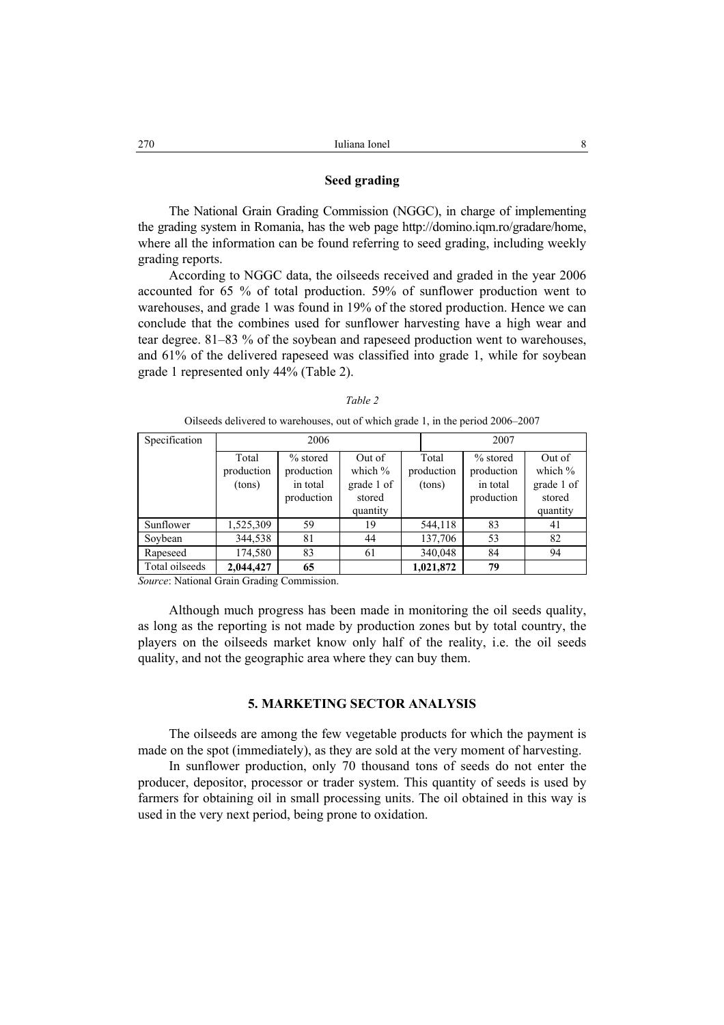#### **Seed grading**

The National Grain Grading Commission (NGGC), in charge of implementing the grading system in Romania, has the web page http://domino.iqm.ro/gradare/home, where all the information can be found referring to seed grading, including weekly grading reports.

According to NGGC data, the oilseeds received and graded in the year 2006 accounted for 65 % of total production. 59% of sunflower production went to warehouses, and grade 1 was found in 19% of the stored production. Hence we can conclude that the combines used for sunflower harvesting have a high wear and tear degree. 81–83 % of the soybean and rapeseed production went to warehouses, and 61% of the delivered rapeseed was classified into grade 1, while for soybean grade 1 represented only 44% (Table 2).

| Specification  | 2006       |            |            |  |            | 2007       |            |
|----------------|------------|------------|------------|--|------------|------------|------------|
|                | Total      | $%$ stored | Out of     |  | Total      | $%$ stored | Out of     |
|                | production | production | which $\%$ |  | production | production | which $%$  |
|                | (tons)     | in total   | grade 1 of |  | (tons)     | in total   | grade 1 of |
|                |            | production | stored     |  |            | production | stored     |
|                |            |            | quantity   |  |            |            | quantity   |
| Sunflower      | 1,525,309  | 59         | 19         |  | 544,118    | 83         | 41         |
| Soybean        | 344,538    | 81         | 44         |  | 137,706    | 53         | 82         |
| Rapeseed       | 174,580    | 83         | 61         |  | 340,048    | 84         | 94         |
| Total oilseeds | 2,044,427  | 65         |            |  | 1,021,872  | 79         |            |

|--|--|--|

Oilseeds delivered to warehouses, out of which grade 1, in the period 2006–2007

*Source*: National Grain Grading Commission.

Although much progress has been made in monitoring the oil seeds quality, as long as the reporting is not made by production zones but by total country, the players on the oilseeds market know only half of the reality, i.e. the oil seeds quality, and not the geographic area where they can buy them.

## **5. MARKETING SECTOR ANALYSIS**

The oilseeds are among the few vegetable products for which the payment is made on the spot (immediately), as they are sold at the very moment of harvesting.

In sunflower production, only 70 thousand tons of seeds do not enter the producer, depositor, processor or trader system. This quantity of seeds is used by farmers for obtaining oil in small processing units. The oil obtained in this way is used in the very next period, being prone to oxidation.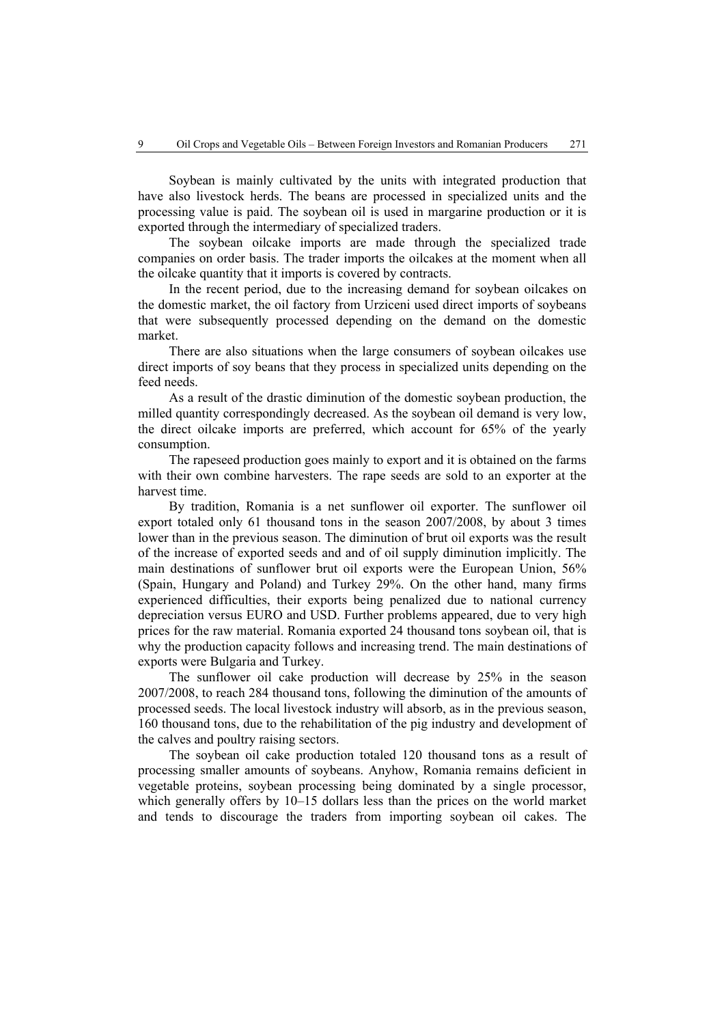Soybean is mainly cultivated by the units with integrated production that have also livestock herds. The beans are processed in specialized units and the processing value is paid. The soybean oil is used in margarine production or it is exported through the intermediary of specialized traders.

The soybean oilcake imports are made through the specialized trade companies on order basis. The trader imports the oilcakes at the moment when all the oilcake quantity that it imports is covered by contracts.

In the recent period, due to the increasing demand for soybean oilcakes on the domestic market, the oil factory from Urziceni used direct imports of soybeans that were subsequently processed depending on the demand on the domestic market.

There are also situations when the large consumers of soybean oilcakes use direct imports of soy beans that they process in specialized units depending on the feed needs.

As a result of the drastic diminution of the domestic soybean production, the milled quantity correspondingly decreased. As the soybean oil demand is very low, the direct oilcake imports are preferred, which account for 65% of the yearly consumption.

The rapeseed production goes mainly to export and it is obtained on the farms with their own combine harvesters. The rape seeds are sold to an exporter at the harvest time.

By tradition, Romania is a net sunflower oil exporter. The sunflower oil export totaled only 61 thousand tons in the season 2007/2008, by about 3 times lower than in the previous season. The diminution of brut oil exports was the result of the increase of exported seeds and and of oil supply diminution implicitly. The main destinations of sunflower brut oil exports were the European Union, 56% (Spain, Hungary and Poland) and Turkey 29%. On the other hand, many firms experienced difficulties, their exports being penalized due to national currency depreciation versus EURO and USD. Further problems appeared, due to very high prices for the raw material. Romania exported 24 thousand tons soybean oil, that is why the production capacity follows and increasing trend. The main destinations of exports were Bulgaria and Turkey.

The sunflower oil cake production will decrease by 25% in the season 2007/2008, to reach 284 thousand tons, following the diminution of the amounts of processed seeds. The local livestock industry will absorb, as in the previous season, 160 thousand tons, due to the rehabilitation of the pig industry and development of the calves and poultry raising sectors.

The soybean oil cake production totaled 120 thousand tons as a result of processing smaller amounts of soybeans. Anyhow, Romania remains deficient in vegetable proteins, soybean processing being dominated by a single processor, which generally offers by 10–15 dollars less than the prices on the world market and tends to discourage the traders from importing soybean oil cakes. The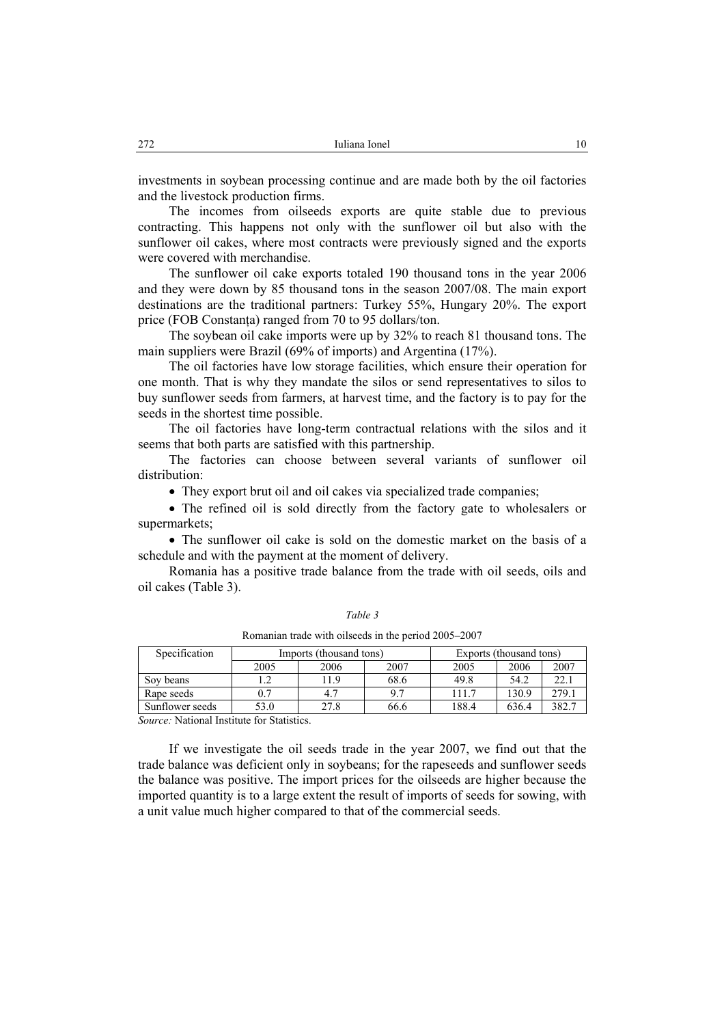investments in soybean processing continue and are made both by the oil factories and the livestock production firms.

The incomes from oilseeds exports are quite stable due to previous contracting. This happens not only with the sunflower oil but also with the sunflower oil cakes, where most contracts were previously signed and the exports were covered with merchandise.

The sunflower oil cake exports totaled 190 thousand tons in the year 2006 and they were down by 85 thousand tons in the season 2007/08. The main export destinations are the traditional partners: Turkey 55%, Hungary 20%. The export price (FOB Constanta) ranged from 70 to 95 dollars/ton.

The soybean oil cake imports were up by 32% to reach 81 thousand tons. The main suppliers were Brazil (69% of imports) and Argentina (17%).

The oil factories have low storage facilities, which ensure their operation for one month. That is why they mandate the silos or send representatives to silos to buy sunflower seeds from farmers, at harvest time, and the factory is to pay for the seeds in the shortest time possible.

The oil factories have long-term contractual relations with the silos and it seems that both parts are satisfied with this partnership.

The factories can choose between several variants of sunflower oil distribution:

• They export brut oil and oil cakes via specialized trade companies;

• The refined oil is sold directly from the factory gate to wholesalers or supermarkets;

• The sunflower oil cake is sold on the domestic market on the basis of a schedule and with the payment at the moment of delivery.

Romania has a positive trade balance from the trade with oil seeds, oils and oil cakes (Table 3).

Romanian trade with oilseeds in the period 2005–2007

| Specification   | Imports (thousand tons) |      |      | Exports (thousand tons) |       |       |
|-----------------|-------------------------|------|------|-------------------------|-------|-------|
|                 | 2005                    | 2006 | 2007 | 2005                    | 2006  | 2007  |
| Sov beans       |                         | 11.9 | 68.6 | 49.8                    | 54.2  | 22.1  |
| Rape seeds      |                         | 4.7  | Q 7  | 111.7                   | 130.9 | 279.1 |
| Sunflower seeds | 53.0                    | 27.8 | 66.6 | 188.4                   | 636.4 | 382.7 |

*Source:* National Institute for Statistics.

If we investigate the oil seeds trade in the year 2007, we find out that the trade balance was deficient only in soybeans; for the rapeseeds and sunflower seeds the balance was positive. The import prices for the oilseeds are higher because the imported quantity is to a large extent the result of imports of seeds for sowing, with a unit value much higher compared to that of the commercial seeds.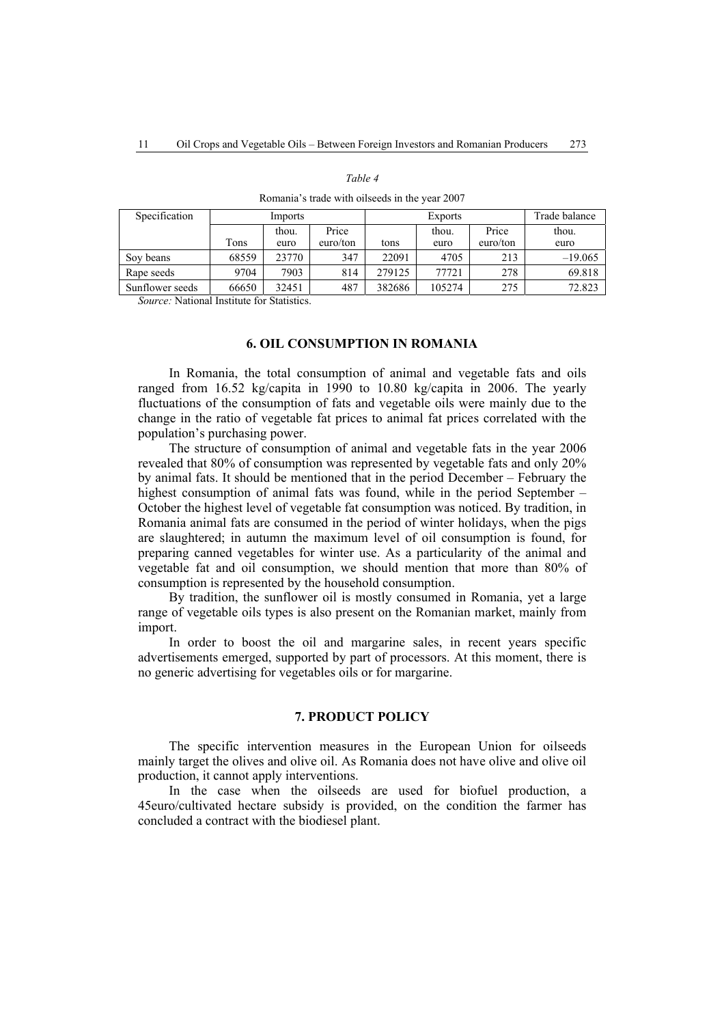| romana o trado with onoceas in the year $2007$ |         |       |          |                |        |          |               |
|------------------------------------------------|---------|-------|----------|----------------|--------|----------|---------------|
| Specification                                  | Imports |       |          | <b>Exports</b> |        |          | Trade balance |
|                                                |         | thou. | Price    |                | thou.  | Price    | thou.         |
|                                                | Tons    | euro  | euro/ton | tons           | euro   | euro/ton | euro          |
| Soy beans                                      | 68559   | 23770 | 347      | 22091          | 4705   | 213      | $-19.065$     |
| Rape seeds                                     | 9704    | 7903  | 814      | 279125         | 77721  | 278      | 69.818        |
| Sunflower seeds                                | 66650   | 32451 | 487      | 382686         | 105274 | 275      | 72.823        |

Romania's trade with oilseeds in the year 2007

*Table 4* 

*Source:* National Institute for Statistics.

#### **6. OIL CONSUMPTION IN ROMANIA**

In Romania, the total consumption of animal and vegetable fats and oils ranged from 16.52 kg/capita in 1990 to 10.80 kg/capita in 2006. The yearly fluctuations of the consumption of fats and vegetable oils were mainly due to the change in the ratio of vegetable fat prices to animal fat prices correlated with the population's purchasing power.

The structure of consumption of animal and vegetable fats in the year 2006 revealed that 80% of consumption was represented by vegetable fats and only 20% by animal fats. It should be mentioned that in the period December – February the highest consumption of animal fats was found, while in the period September – October the highest level of vegetable fat consumption was noticed. By tradition, in Romania animal fats are consumed in the period of winter holidays, when the pigs are slaughtered; in autumn the maximum level of oil consumption is found, for preparing canned vegetables for winter use. As a particularity of the animal and vegetable fat and oil consumption, we should mention that more than 80% of consumption is represented by the household consumption.

By tradition, the sunflower oil is mostly consumed in Romania, yet a large range of vegetable oils types is also present on the Romanian market, mainly from import.

In order to boost the oil and margarine sales, in recent years specific advertisements emerged, supported by part of processors. At this moment, there is no generic advertising for vegetables oils or for margarine.

#### **7. PRODUCT POLICY**

The specific intervention measures in the European Union for oilseeds mainly target the olives and olive oil. As Romania does not have olive and olive oil production, it cannot apply interventions.

In the case when the oilseeds are used for biofuel production, a 45euro/cultivated hectare subsidy is provided, on the condition the farmer has concluded a contract with the biodiesel plant.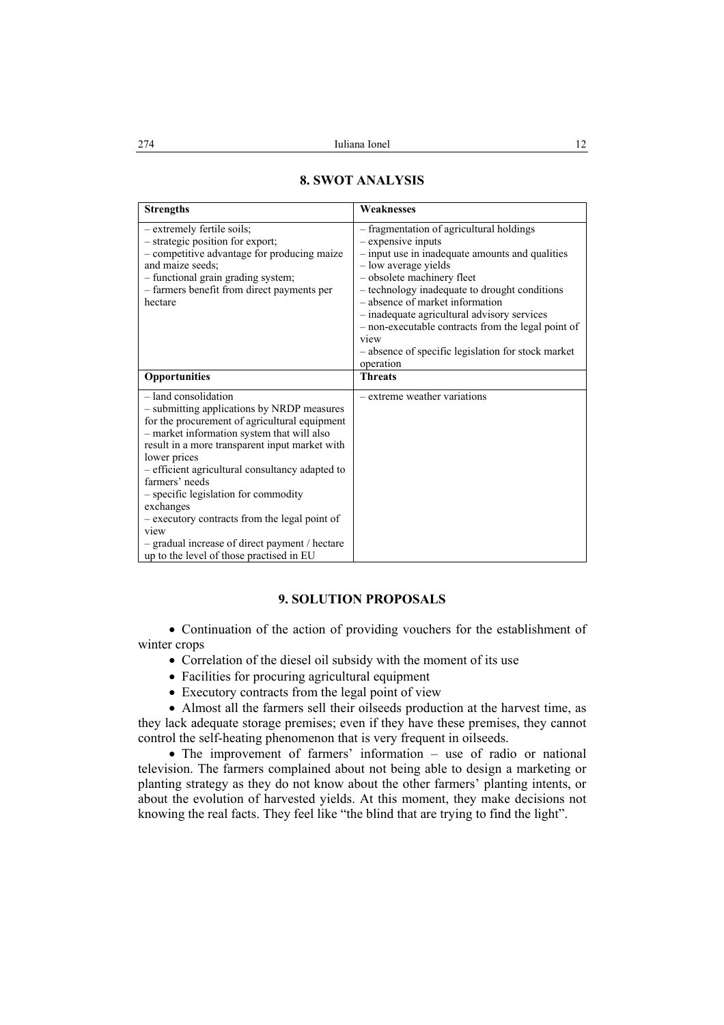| <b>Strengths</b>                                                                                                                                                                                                                                                                                                                                                                                                                                                                                                       | Weaknesses                                                                                                                                                                                                                                                                                                                                                                                                                                  |
|------------------------------------------------------------------------------------------------------------------------------------------------------------------------------------------------------------------------------------------------------------------------------------------------------------------------------------------------------------------------------------------------------------------------------------------------------------------------------------------------------------------------|---------------------------------------------------------------------------------------------------------------------------------------------------------------------------------------------------------------------------------------------------------------------------------------------------------------------------------------------------------------------------------------------------------------------------------------------|
| - extremely fertile soils;<br>- strategic position for export;<br>- competitive advantage for producing maize<br>and maize seeds;<br>- functional grain grading system;<br>- farmers benefit from direct payments per<br>hectare                                                                                                                                                                                                                                                                                       | - fragmentation of agricultural holdings<br>- expensive inputs<br>- input use in inadequate amounts and qualities<br>- low average yields<br>- obsolete machinery fleet<br>- technology inadequate to drought conditions<br>- absence of market information<br>- inadequate agricultural advisory services<br>- non-executable contracts from the legal point of<br>view<br>- absence of specific legislation for stock market<br>operation |
| Opportunities                                                                                                                                                                                                                                                                                                                                                                                                                                                                                                          | <b>Threats</b>                                                                                                                                                                                                                                                                                                                                                                                                                              |
| $-$ land consolidation<br>- submitting applications by NRDP measures<br>for the procurement of agricultural equipment<br>- market information system that will also<br>result in a more transparent input market with<br>lower prices<br>- efficient agricultural consultancy adapted to<br>farmers' needs<br>- specific legislation for commodity<br>exchanges<br>- executory contracts from the legal point of<br>view<br>- gradual increase of direct payment / hectare<br>up to the level of those practised in EU | - extreme weather variations                                                                                                                                                                                                                                                                                                                                                                                                                |

## **8. SWOT ANALYSIS**

## **9. SOLUTION PROPOSALS**

• Continuation of the action of providing vouchers for the establishment of winter crops

- Correlation of the diesel oil subsidy with the moment of its use
- Facilities for procuring agricultural equipment
- Executory contracts from the legal point of view

• Almost all the farmers sell their oilseeds production at the harvest time, as they lack adequate storage premises; even if they have these premises, they cannot control the self-heating phenomenon that is very frequent in oilseeds.

• The improvement of farmers' information – use of radio or national television. The farmers complained about not being able to design a marketing or planting strategy as they do not know about the other farmers' planting intents, or about the evolution of harvested yields. At this moment, they make decisions not knowing the real facts. They feel like "the blind that are trying to find the light".